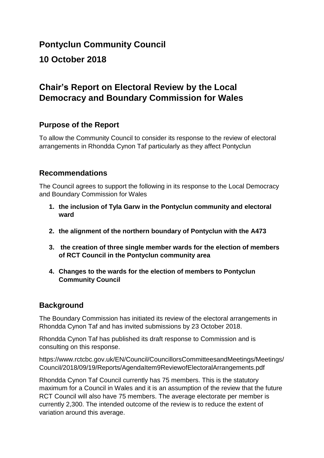# **Pontyclun Community Council**

### **10 October 2018**

## **Chair's Report on Electoral Review by the Local Democracy and Boundary Commission for Wales**

### **Purpose of the Report**

To allow the Community Council to consider its response to the review of electoral arrangements in Rhondda Cynon Taf particularly as they affect Pontyclun

### **Recommendations**

The Council agrees to support the following in its response to the Local Democracy and Boundary Commission for Wales

- **1. the inclusion of Tyla Garw in the Pontyclun community and electoral ward**
- **2. the alignment of the northern boundary of Pontyclun with the A473**
- **3. the creation of three single member wards for the election of members of RCT Council in the Pontyclun community area**
- **4. Changes to the wards for the election of members to Pontyclun Community Council**

### **Background**

The Boundary Commission has initiated its review of the electoral arrangements in Rhondda Cynon Taf and has invited submissions by 23 October 2018.

Rhondda Cynon Taf has published its draft response to Commission and is consulting on this response.

https://www.rctcbc.gov.uk/EN/Council/CouncillorsCommitteesandMeetings/Meetings/ Council/2018/09/19/Reports/AgendaItem9ReviewofElectoralArrangements.pdf

Rhondda Cynon Taf Council currently has 75 members. This is the statutory maximum for a Council in Wales and it is an assumption of the review that the future RCT Council will also have 75 members. The average electorate per member is currently 2,300. The intended outcome of the review is to reduce the extent of variation around this average.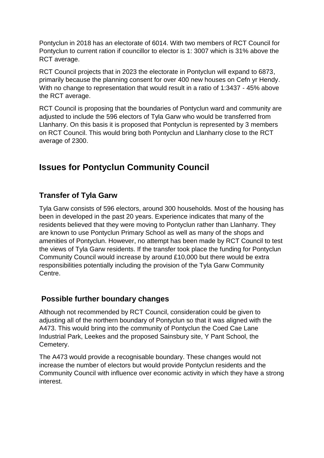Pontyclun in 2018 has an electorate of 6014. With two members of RCT Council for Pontyclun to current ration if councillor to elector is 1: 3007 which is 31% above the RCT average.

RCT Council projects that in 2023 the electorate in Pontyclun will expand to 6873, primarily because the planning consent for over 400 new houses on Cefn yr Hendy. With no change to representation that would result in a ratio of 1:3437 - 45% above the RCT average.

RCT Council is proposing that the boundaries of Pontyclun ward and community are adjusted to include the 596 electors of Tyla Garw who would be transferred from Llanharry. On this basis it is proposed that Pontyclun is represented by 3 members on RCT Council. This would bring both Pontyclun and Llanharry close to the RCT average of 2300.

# **Issues for Pontyclun Community Council**

### **Transfer of Tyla Garw**

Tyla Garw consists of 596 electors, around 300 households. Most of the housing has been in developed in the past 20 years. Experience indicates that many of the residents believed that they were moving to Pontyclun rather than Llanharry. They are known to use Pontyclun Primary School as well as many of the shops and amenities of Pontyclun. However, no attempt has been made by RCT Council to test the views of Tyla Garw residents. If the transfer took place the funding for Pontyclun Community Council would increase by around £10,000 but there would be extra responsibilities potentially including the provision of the Tyla Garw Community Centre.

### **Possible further boundary changes**

Although not recommended by RCT Council, consideration could be given to adjusting all of the northern boundary of Pontyclun so that it was aligned with the A473. This would bring into the community of Pontyclun the Coed Cae Lane Industrial Park, Leekes and the proposed Sainsbury site, Y Pant School, the Cemetery.

The A473 would provide a recognisable boundary. These changes would not increase the number of electors but would provide Pontyclun residents and the Community Council with influence over economic activity in which they have a strong interest.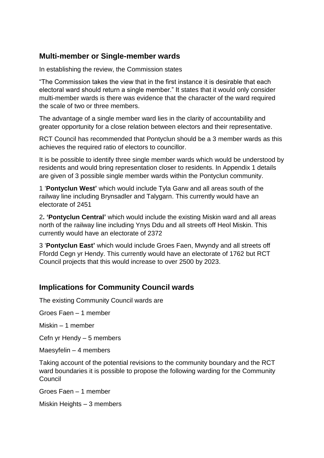#### **Multi-member or Single-member wards**

In establishing the review, the Commission states

"The Commission takes the view that in the first instance it is desirable that each electoral ward should return a single member." It states that it would only consider multi-member wards is there was evidence that the character of the ward required the scale of two or three members.

The advantage of a single member ward lies in the clarity of accountability and greater opportunity for a close relation between electors and their representative.

RCT Council has recommended that Pontyclun should be a 3 member wards as this achieves the required ratio of electors to councillor.

It is be possible to identify three single member wards which would be understood by residents and would bring representation closer to residents. In Appendix 1 details are given of 3 possible single member wards within the Pontyclun community.

1 '**Pontyclun West'** which would include Tyla Garw and all areas south of the railway line including Brynsadler and Talygarn. This currently would have an electorate of 2451

2**. 'Pontyclun Central'** which would include the existing Miskin ward and all areas north of the railway line including Ynys Ddu and all streets off Heol Miskin. This currently would have an electorate of 2372

3 '**Pontyclun East'** which would include Groes Faen, Mwyndy and all streets off Ffordd Cegn yr Hendy. This currently would have an electorate of 1762 but RCT Council projects that this would increase to over 2500 by 2023.

#### **Implications for Community Council wards**

The existing Community Council wards are

Groes Faen – 1 member

Miskin – 1 member

Cefn yr Hendy – 5 members

Maesyfelin – 4 members

Taking account of the potential revisions to the community boundary and the RCT ward boundaries it is possible to propose the following warding for the Community Council

Groes Faen – 1 member

Miskin Heights – 3 members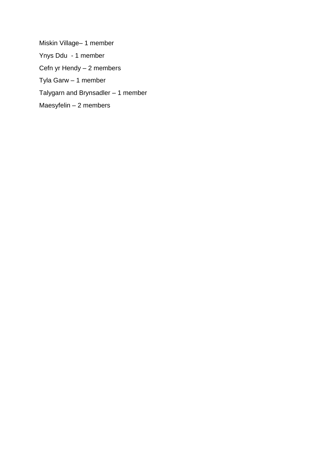Miskin Village– 1 member Ynys Ddu - 1 member Cefn yr Hendy – 2 members Tyla Garw – 1 member Talygarn and Brynsadler – 1 member Maesyfelin – 2 members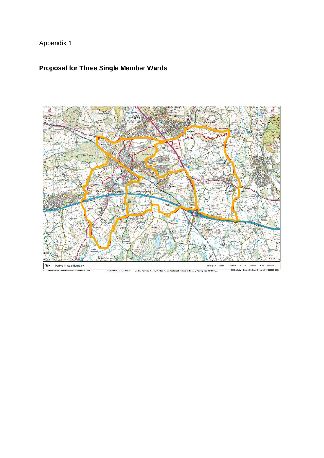# Appendix 1

## **Proposal for Three Single Member Wards**